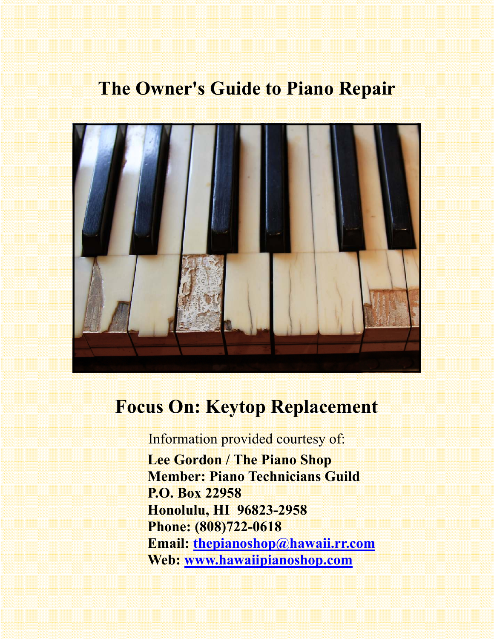# **The Owner's Guide to Piano Repair**



# **Focus On: Keytop Replacement**

Information provided courtesy of:

 **Lee Gordon / The Piano Shop Member: Piano Technicians Guild P.O. Box 22958 Honolulu, HI 96823-2958 Phone: (808)722-0618 Email: thepianoshop@hawaii.rr.com Web: www.hawaiipianoshop.com**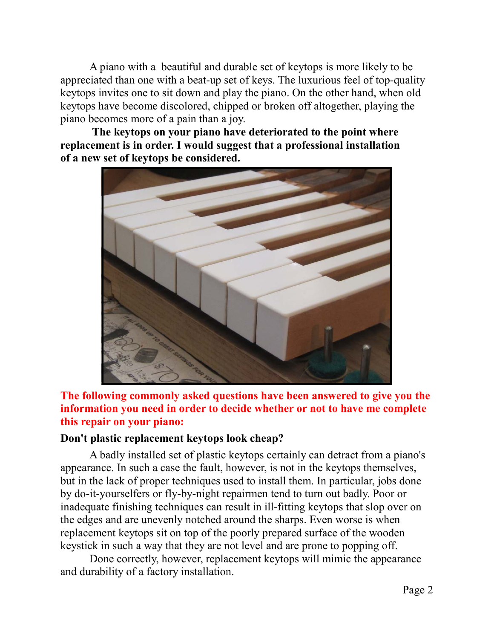A piano with a beautiful and durable set of keytops is more likely to be appreciated than one with a beat-up set of keys. The luxurious feel of top-quality keytops invites one to sit down and play the piano. On the other hand, when old keytops have become discolored, chipped or broken off altogether, playing the piano becomes more of a pain than a joy.

 **The keytops on your piano have deteriorated to the point where replacement is in order. I would suggest that a professional installation of a new set of keytops be considered.** 



**The following commonly asked questions have been answered to give you the information you need in order to decide whether or not to have me complete this repair on your piano:** 

#### **Don't plastic replacement keytops look cheap?**

 A badly installed set of plastic keytops certainly can detract from a piano's appearance. In such a case the fault, however, is not in the keytops themselves, but in the lack of proper techniques used to install them. In particular, jobs done by do-it-yourselfers or fly-by-night repairmen tend to turn out badly. Poor or inadequate finishing techniques can result in ill-fitting keytops that slop over on the edges and are unevenly notched around the sharps. Even worse is when replacement keytops sit on top of the poorly prepared surface of the wooden keystick in such a way that they are not level and are prone to popping off.

 Done correctly, however, replacement keytops will mimic the appearance and durability of a factory installation.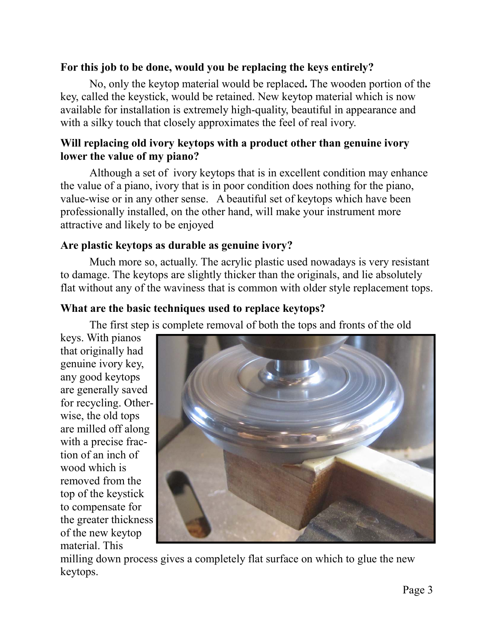### **For this job to be done, would you be replacing the keys entirely?**

No, only the keytop material would be replaced**.** The wooden portion of the key, called the keystick, would be retained. New keytop material which is now available for installation is extremely high-quality, beautiful in appearance and with a silky touch that closely approximates the feel of real ivory.

### **Will replacing old ivory keytops with a product other than genuine ivory lower the value of my piano?**

 Although a set of ivory keytops that is in excellent condition may enhance the value of a piano, ivory that is in poor condition does nothing for the piano, value-wise or in any other sense. A beautiful set of keytops which have been professionally installed, on the other hand, will make your instrument more attractive and likely to be enjoyed

### **Are plastic keytops as durable as genuine ivory?**

Much more so, actually. The acrylic plastic used nowadays is very resistant to damage. The keytops are slightly thicker than the originals, and lie absolutely flat without any of the waviness that is common with older style replacement tops.

### **What are the basic techniques used to replace keytops?**

The first step is complete removal of both the tops and fronts of the old

keys. With pianos that originally had genuine ivory key, any good keytops are generally saved for recycling. Otherwise, the old tops are milled off along with a precise fraction of an inch of wood which is removed from the top of the keystick to compensate for the greater thickness of the new keytop material. This



milling down process gives a completely flat surface on which to glue the new keytops.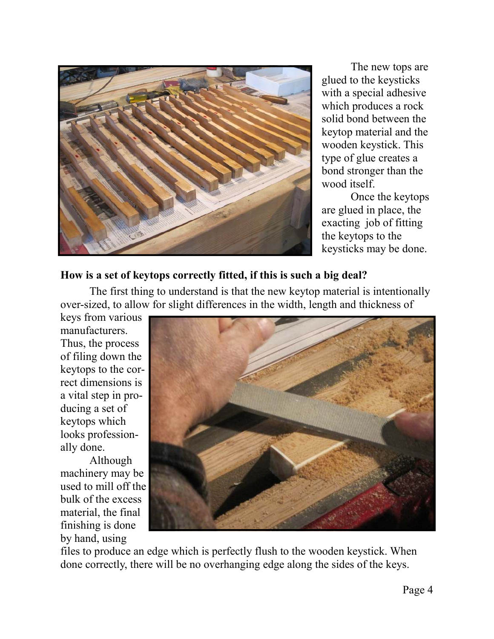

 The new tops are glued to the keysticks with a special adhesive which produces a rock solid bond between the keytop material and the wooden keystick. This type of glue creates a bond stronger than the wood itself.

 Once the keytops are glued in place, the exacting job of fitting the keytops to the keysticks may be done.

#### **How is a set of keytops correctly fitted, if this is such a big deal?**

 The first thing to understand is that the new keytop material is intentionally over-sized, to allow for slight differences in the width, length and thickness of

keys from various manufacturers. Thus, the process of filing down the keytops to the correct dimensions is a vital step in producing a set of keytops which looks professionally done.

 Although machinery may be used to mill off the bulk of the excess material, the final finishing is done by hand, using



files to produce an edge which is perfectly flush to the wooden keystick. When done correctly, there will be no overhanging edge along the sides of the keys.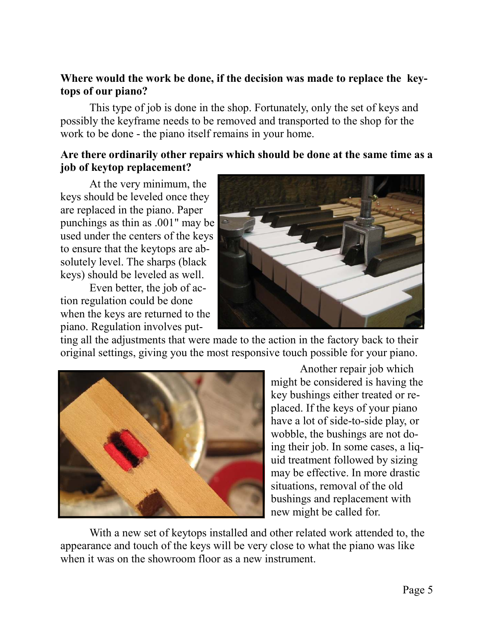#### **Where would the work be done, if the decision was made to replace the keytops of our piano?**

 This type of job is done in the shop. Fortunately, only the set of keys and possibly the keyframe needs to be removed and transported to the shop for the work to be done - the piano itself remains in your home.

#### **Are there ordinarily other repairs which should be done at the same time as a job of keytop replacement?**

 At the very minimum, the keys should be leveled once they are replaced in the piano. Paper punchings as thin as .001" may be used under the centers of the keys to ensure that the keytops are absolutely level. The sharps (black keys) should be leveled as well.

 Even better, the job of action regulation could be done when the keys are returned to the piano. Regulation involves put-



ting all the adjustments that were made to the action in the factory back to their original settings, giving you the most responsive touch possible for your piano.



 Another repair job which might be considered is having the key bushings either treated or replaced. If the keys of your piano have a lot of side-to-side play, or wobble, the bushings are not doing their job. In some cases, a liquid treatment followed by sizing may be effective. In more drastic situations, removal of the old bushings and replacement with new might be called for.

 With a new set of keytops installed and other related work attended to, the appearance and touch of the keys will be very close to what the piano was like when it was on the showroom floor as a new instrument.